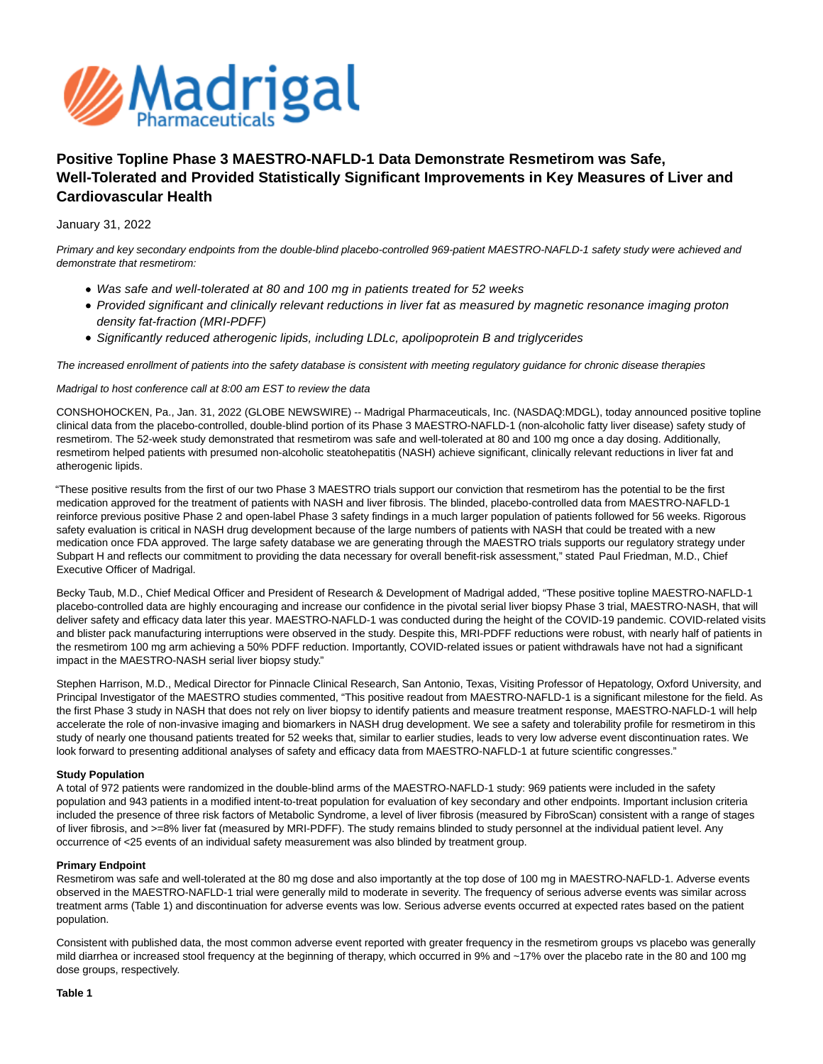

# **Positive Topline Phase 3 MAESTRO-NAFLD-1 Data Demonstrate Resmetirom was Safe, Well-Tolerated and Provided Statistically Significant Improvements in Key Measures of Liver and Cardiovascular Health**

## January 31, 2022

Primary and key secondary endpoints from the double-blind placebo-controlled 969-patient MAESTRO-NAFLD-1 safety study were achieved and demonstrate that resmetirom:

- Was safe and well-tolerated at 80 and 100 mg in patients treated for 52 weeks
- Provided significant and clinically relevant reductions in liver fat as measured by magnetic resonance imaging proton density fat-fraction (MRI-PDFF)
- Significantly reduced atherogenic lipids, including LDLc, apolipoprotein B and triglycerides

The increased enrollment of patients into the safety database is consistent with meeting regulatory guidance for chronic disease therapies

## Madrigal to host conference call at 8:00 am EST to review the data

CONSHOHOCKEN, Pa., Jan. 31, 2022 (GLOBE NEWSWIRE) -- Madrigal Pharmaceuticals, Inc. (NASDAQ:MDGL), today announced positive topline clinical data from the placebo-controlled, double-blind portion of its Phase 3 MAESTRO-NAFLD-1 (non-alcoholic fatty liver disease) safety study of resmetirom. The 52-week study demonstrated that resmetirom was safe and well-tolerated at 80 and 100 mg once a day dosing. Additionally, resmetirom helped patients with presumed non-alcoholic steatohepatitis (NASH) achieve significant, clinically relevant reductions in liver fat and atherogenic lipids.

"These positive results from the first of our two Phase 3 MAESTRO trials support our conviction that resmetirom has the potential to be the first medication approved for the treatment of patients with NASH and liver fibrosis. The blinded, placebo-controlled data from MAESTRO-NAFLD-1 reinforce previous positive Phase 2 and open-label Phase 3 safety findings in a much larger population of patients followed for 56 weeks. Rigorous safety evaluation is critical in NASH drug development because of the large numbers of patients with NASH that could be treated with a new medication once FDA approved. The large safety database we are generating through the MAESTRO trials supports our regulatory strategy under Subpart H and reflects our commitment to providing the data necessary for overall benefit-risk assessment," stated Paul Friedman, M.D., Chief Executive Officer of Madrigal.

Becky Taub, M.D., Chief Medical Officer and President of Research & Development of Madrigal added, "These positive topline MAESTRO-NAFLD-1 placebo-controlled data are highly encouraging and increase our confidence in the pivotal serial liver biopsy Phase 3 trial, MAESTRO-NASH, that will deliver safety and efficacy data later this year. MAESTRO-NAFLD-1 was conducted during the height of the COVID-19 pandemic. COVID-related visits and blister pack manufacturing interruptions were observed in the study. Despite this, MRI-PDFF reductions were robust, with nearly half of patients in the resmetirom 100 mg arm achieving a 50% PDFF reduction. Importantly, COVID-related issues or patient withdrawals have not had a significant impact in the MAESTRO-NASH serial liver biopsy study."

Stephen Harrison, M.D., Medical Director for Pinnacle Clinical Research, San Antonio, Texas, Visiting Professor of Hepatology, Oxford University, and Principal Investigator of the MAESTRO studies commented, "This positive readout from MAESTRO-NAFLD-1 is a significant milestone for the field. As the first Phase 3 study in NASH that does not rely on liver biopsy to identify patients and measure treatment response, MAESTRO-NAFLD-1 will help accelerate the role of non-invasive imaging and biomarkers in NASH drug development. We see a safety and tolerability profile for resmetirom in this study of nearly one thousand patients treated for 52 weeks that, similar to earlier studies, leads to very low adverse event discontinuation rates. We look forward to presenting additional analyses of safety and efficacy data from MAESTRO-NAFLD-1 at future scientific congresses."

#### **Study Population**

A total of 972 patients were randomized in the double-blind arms of the MAESTRO-NAFLD-1 study: 969 patients were included in the safety population and 943 patients in a modified intent-to-treat population for evaluation of key secondary and other endpoints. Important inclusion criteria included the presence of three risk factors of Metabolic Syndrome, a level of liver fibrosis (measured by FibroScan) consistent with a range of stages of liver fibrosis, and >=8% liver fat (measured by MRI-PDFF). The study remains blinded to study personnel at the individual patient level. Any occurrence of <25 events of an individual safety measurement was also blinded by treatment group.

## **Primary Endpoint**

Resmetirom was safe and well-tolerated at the 80 mg dose and also importantly at the top dose of 100 mg in MAESTRO-NAFLD-1. Adverse events observed in the MAESTRO-NAFLD-1 trial were generally mild to moderate in severity. The frequency of serious adverse events was similar across treatment arms (Table 1) and discontinuation for adverse events was low. Serious adverse events occurred at expected rates based on the patient population.

Consistent with published data, the most common adverse event reported with greater frequency in the resmetirom groups vs placebo was generally mild diarrhea or increased stool frequency at the beginning of therapy, which occurred in 9% and ~17% over the placebo rate in the 80 and 100 mg dose groups, respectively.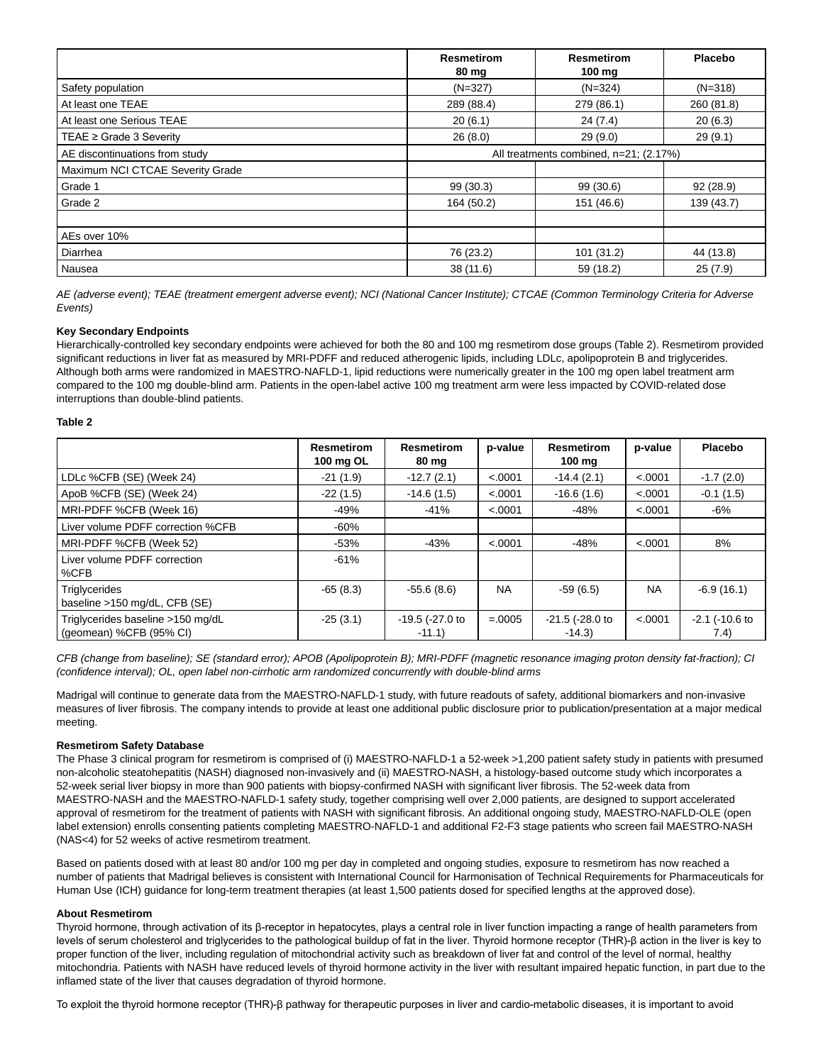|                                  | <b>Resmetirom</b><br>80 mg             | <b>Resmetirom</b><br>$100$ mg | <b>Placebo</b> |  |  |
|----------------------------------|----------------------------------------|-------------------------------|----------------|--|--|
| Safety population                | $(N=327)$                              | $(N=324)$                     | $(N=318)$      |  |  |
| At least one TEAE                | 289 (88.4)                             | 279 (86.1)                    | 260 (81.8)     |  |  |
| At least one Serious TEAE        | 20(6.1)                                | 24(7.4)                       | 20(6.3)        |  |  |
| TEAE $\geq$ Grade 3 Severity     | 26(8.0)                                | 29(9.0)                       | 29(9.1)        |  |  |
| AE discontinuations from study   | All treatments combined, n=21; (2.17%) |                               |                |  |  |
| Maximum NCI CTCAE Severity Grade |                                        |                               |                |  |  |
| Grade 1                          | 99(30.3)                               | 99(30.6)                      | 92(28.9)       |  |  |
| Grade 2                          | 164 (50.2)                             | 151 (46.6)                    | 139 (43.7)     |  |  |
|                                  |                                        |                               |                |  |  |
| AEs over 10%                     |                                        |                               |                |  |  |
| Diarrhea                         | 76 (23.2)                              | 101 (31.2)                    | 44 (13.8)      |  |  |
| Nausea                           | 38(11.6)                               | 59 (18.2)                     | 25(7.9)        |  |  |

AE (adverse event); TEAE (treatment emergent adverse event); NCI (National Cancer Institute); CTCAE (Common Terminology Criteria for Adverse Events)

## **Key Secondary Endpoints**

Hierarchically-controlled key secondary endpoints were achieved for both the 80 and 100 mg resmetirom dose groups (Table 2). Resmetirom provided significant reductions in liver fat as measured by MRI-PDFF and reduced atherogenic lipids, including LDLc, apolipoprotein B and triglycerides. Although both arms were randomized in MAESTRO-NAFLD-1, lipid reductions were numerically greater in the 100 mg open label treatment arm compared to the 100 mg double-blind arm. Patients in the open-label active 100 mg treatment arm were less impacted by COVID-related dose interruptions than double-blind patients.

## **Table 2**

|                                                              | <b>Resmetirom</b><br>100 mg OL | <b>Resmetirom</b><br>80 mg  | p-value   | <b>Resmetirom</b><br>$100 \text{ mg}$ | p-value   | <b>Placebo</b>              |
|--------------------------------------------------------------|--------------------------------|-----------------------------|-----------|---------------------------------------|-----------|-----------------------------|
| LDLc %CFB (SE) (Week 24)                                     | $-21(1.9)$                     | $-12.7(2.1)$                | < .0001   | $-14.4(2.1)$                          | < .0001   | $-1.7(2.0)$                 |
| ApoB %CFB (SE) (Week 24)                                     | $-22(1.5)$                     | $-14.6(1.5)$                | < .0001   | $-16.6(1.6)$                          | < .0001   | $-0.1(1.5)$                 |
| MRI-PDFF %CFB (Week 16)                                      | $-49%$                         | $-41%$                      | < .0001   | -48%                                  | < .0001   | -6%                         |
| Liver volume PDFF correction %CFB                            | $-60%$                         |                             |           |                                       |           |                             |
| MRI-PDFF %CFB (Week 52)                                      | $-53%$                         | $-43%$                      | < .0001   | $-48%$                                | < .0001   | 8%                          |
| Liver volume PDFF correction<br>%CFB                         | $-61%$                         |                             |           |                                       |           |                             |
| <b>Triglycerides</b><br>baseline >150 mg/dL, CFB (SE)        | $-65(8.3)$                     | $-55.6(8.6)$                | <b>NA</b> | $-59(6.5)$                            | <b>NA</b> | $-6.9(16.1)$                |
| Triglycerides baseline >150 mg/dL<br>(geomean) %CFB (95% CI) | $-25(3.1)$                     | -19.5 (-27.0 to<br>$-11.1)$ | $=.0005$  | $-21.5$ ( $-28.0$ to<br>$-14.3$       | < .0001   | $-2.1$ ( $-10.6$ to<br>7.4) |

CFB (change from baseline); SE (standard error); APOB (Apolipoprotein B); MRI-PDFF (magnetic resonance imaging proton density fat-fraction); CI (confidence interval); OL, open label non-cirrhotic arm randomized concurrently with double-blind arms

Madrigal will continue to generate data from the MAESTRO-NAFLD-1 study, with future readouts of safety, additional biomarkers and non-invasive measures of liver fibrosis. The company intends to provide at least one additional public disclosure prior to publication/presentation at a major medical meeting.

## **Resmetirom Safety Database**

The Phase 3 clinical program for resmetirom is comprised of (i) MAESTRO-NAFLD-1 a 52-week >1,200 patient safety study in patients with presumed non-alcoholic steatohepatitis (NASH) diagnosed non-invasively and (ii) MAESTRO-NASH, a histology-based outcome study which incorporates a 52-week serial liver biopsy in more than 900 patients with biopsy-confirmed NASH with significant liver fibrosis. The 52-week data from MAESTRO-NASH and the MAESTRO-NAFLD-1 safety study, together comprising well over 2,000 patients, are designed to support accelerated approval of resmetirom for the treatment of patients with NASH with significant fibrosis. An additional ongoing study, MAESTRO-NAFLD-OLE (open label extension) enrolls consenting patients completing MAESTRO-NAFLD-1 and additional F2-F3 stage patients who screen fail MAESTRO-NASH (NAS<4) for 52 weeks of active resmetirom treatment.

Based on patients dosed with at least 80 and/or 100 mg per day in completed and ongoing studies, exposure to resmetirom has now reached a number of patients that Madrigal believes is consistent with International Council for Harmonisation of Technical Requirements for Pharmaceuticals for Human Use (ICH) guidance for long-term treatment therapies (at least 1,500 patients dosed for specified lengths at the approved dose).

## **About Resmetirom**

Thyroid hormone, through activation of its β-receptor in hepatocytes, plays a central role in liver function impacting a range of health parameters from levels of serum cholesterol and triglycerides to the pathological buildup of fat in the liver. Thyroid hormone receptor (THR)-β action in the liver is key to proper function of the liver, including regulation of mitochondrial activity such as breakdown of liver fat and control of the level of normal, healthy mitochondria. Patients with NASH have reduced levels of thyroid hormone activity in the liver with resultant impaired hepatic function, in part due to the inflamed state of the liver that causes degradation of thyroid hormone.

To exploit the thyroid hormone receptor (THR)-β pathway for therapeutic purposes in liver and cardio-metabolic diseases, it is important to avoid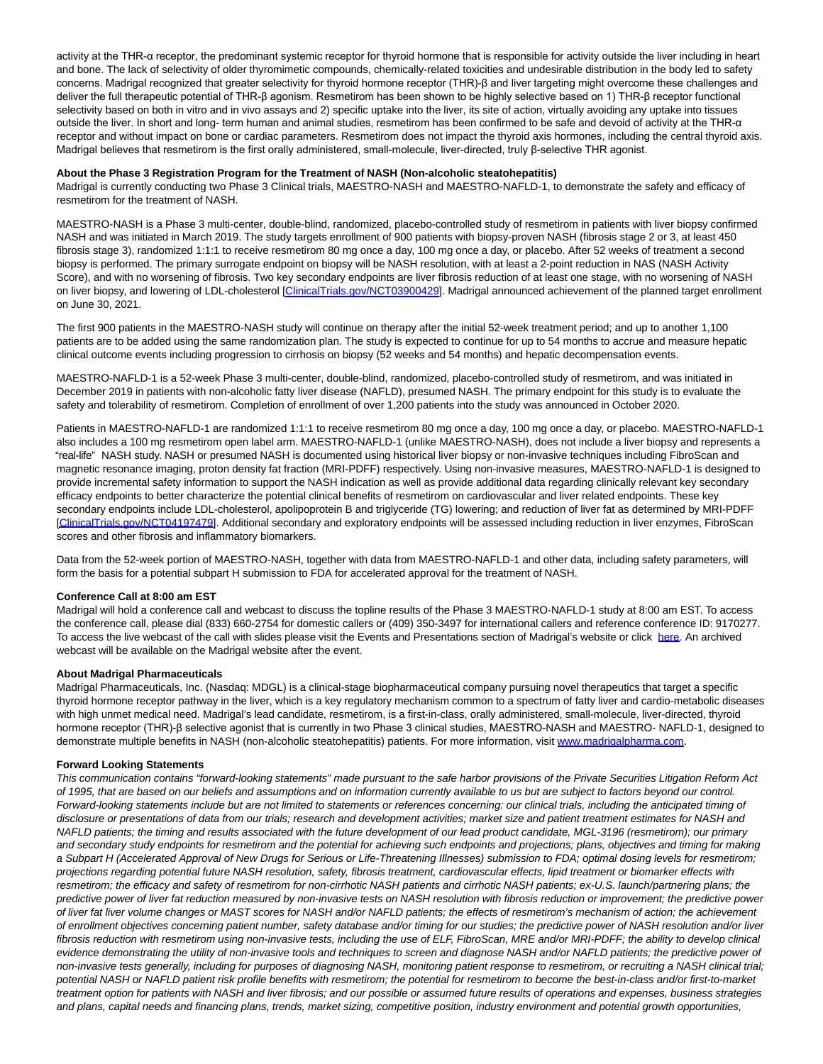activity at the THR-α receptor, the predominant systemic receptor for thyroid hormone that is responsible for activity outside the liver including in heart and bone. The lack of selectivity of older thyromimetic compounds, chemically-related toxicities and undesirable distribution in the body led to safety concerns. Madrigal recognized that greater selectivity for thyroid hormone receptor (THR)-β and liver targeting might overcome these challenges and deliver the full therapeutic potential of THR-β agonism. Resmetirom has been shown to be highly selective based on 1) THR-β receptor functional selectivity based on both in vitro and in vivo assays and 2) specific uptake into the liver, its site of action, virtually avoiding any uptake into tissues outside the liver. In short and long- term human and animal studies, resmetirom has been confirmed to be safe and devoid of activity at the THR-α receptor and without impact on bone or cardiac parameters. Resmetirom does not impact the thyroid axis hormones, including the central thyroid axis. Madrigal believes that resmetirom is the first orally administered, small-molecule, liver-directed, truly β-selective THR agonist.

#### **About the Phase 3 Registration Program for the Treatment of NASH (Non-alcoholic steatohepatitis)**

Madrigal is currently conducting two Phase 3 Clinical trials, MAESTRO-NASH and MAESTRO-NAFLD-1, to demonstrate the safety and efficacy of resmetirom for the treatment of NASH.

MAESTRO-NASH is a Phase 3 multi-center, double-blind, randomized, placebo-controlled study of resmetirom in patients with liver biopsy confirmed NASH and was initiated in March 2019. The study targets enrollment of 900 patients with biopsy-proven NASH (fibrosis stage 2 or 3, at least 450 fibrosis stage 3), randomized 1:1:1 to receive resmetirom 80 mg once a day, 100 mg once a day, or placebo. After 52 weeks of treatment a second biopsy is performed. The primary surrogate endpoint on biopsy will be NASH resolution, with at least a 2-point reduction in NAS (NASH Activity Score), and with no worsening of fibrosis. Two key secondary endpoints are liver fibrosis reduction of at least one stage, with no worsening of NASH on liver biopsy, and lowering of LDL-cholesterol [\[ClinicalTrials.gov/NCT03900429\].](https://www.globenewswire.com/Tracker?data=oonD6SrfUk8VwbvRgMv2J8H4aY4nVQetJzB18X-SyOymHzeLDSdzGnjEbwuMipsU1l83DfQeUeasgF6e55pBH-an342NsuXffkJjFAr0AtuPsGWjS6BqiTUQ2R0Ju77TFvj2CsBr3jF3seQ6yNE_QikhlxVVibG5yOCPdMWCoSR9Z33hiX7J1vZieFyHgziR4d5vIFxRr2lEK2JTgui34QNl-4FD8UCsQd7cWaUwPwYDz4diAuQPvX5URj6epvq-0SRL0xm9pX9IuhQVBDuFqW8XQaayu3WnhASvCyaYVH_FzcMBbaWVdJSHgoEFThNVwSag9tDKVKQfM2f5qbCEGA==) Madrigal announced achievement of the planned target enrollment on June 30, 2021.

The first 900 patients in the MAESTRO-NASH study will continue on therapy after the initial 52-week treatment period; and up to another 1,100 patients are to be added using the same randomization plan. The study is expected to continue for up to 54 months to accrue and measure hepatic clinical outcome events including progression to cirrhosis on biopsy (52 weeks and 54 months) and hepatic decompensation events.

MAESTRO-NAFLD-1 is a 52-week Phase 3 multi-center, double-blind, randomized, placebo-controlled study of resmetirom, and was initiated in December 2019 in patients with non-alcoholic fatty liver disease (NAFLD), presumed NASH. The primary endpoint for this study is to evaluate the safety and tolerability of resmetirom. Completion of enrollment of over 1,200 patients into the study was announced in October 2020.

Patients in MAESTRO-NAFLD-1 are randomized 1:1:1 to receive resmetirom 80 mg once a day, 100 mg once a day, or placebo. MAESTRO-NAFLD-1 also includes a 100 mg resmetirom open label arm. MAESTRO-NAFLD-1 (unlike MAESTRO-NASH), does not include a liver biopsy and represents a "real-life" NASH study. NASH or presumed NASH is documented using historical liver biopsy or non-invasive techniques including FibroScan and magnetic resonance imaging, proton density fat fraction (MRI-PDFF) respectively. Using non-invasive measures, MAESTRO-NAFLD-1 is designed to provide incremental safety information to support the NASH indication as well as provide additional data regarding clinically relevant key secondary efficacy endpoints to better characterize the potential clinical benefits of resmetirom on cardiovascular and liver related endpoints. These key secondary endpoints include LDL-cholesterol, apolipoprotein B and triglyceride (TG) lowering; and reduction of liver fat as determined by MRI-PDFF [\[ClinicalTrials.gov/NCT04197479\].](https://www.globenewswire.com/Tracker?data=oonD6SrfUk8VwbvRgMv2J8H4aY4nVQetJzB18X-SyOwFrn_0Httui3kI-v2mmVgiJMfumIg8KGuDvozQDQXZReOmQZFBnBHG0CEfCRo2Jl8XyVL542mLouAFMG6cEoNEfq9nbN60VO40QV6PTI3ycwIu9qrpTHemvJ-SFQ0wiKoLP_aUQ2CENmse5zvd3bPmP_V_WsqddkJOYUmB7_qNu4aRUUeSqGADacMQN6yljbfWZQTqk_S3ERSo6MUKBWxW0Fx8GoO7wWNvSKGYnuJiXXHfwRoYT1MwhkRzlwyYnJAKzxj7gaXkj-FPR2xkpnbrKUogwlzK8ifOu1Xh_7Xvcax0zOt7hEk8I8z6r_TB5QNeBOP_7wJ6Eubav26Y2yW6) Additional secondary and exploratory endpoints will be assessed including reduction in liver enzymes, FibroScan scores and other fibrosis and inflammatory biomarkers.

Data from the 52-week portion of MAESTRO-NASH, together with data from MAESTRO-NAFLD-1 and other data, including safety parameters, will form the basis for a potential subpart H submission to FDA for accelerated approval for the treatment of NASH.

## **Conference Call at 8:00 am EST**

Madrigal will hold a conference call and webcast to discuss the topline results of the Phase 3 MAESTRO-NAFLD-1 study at 8:00 am EST. To access the conference call, please dial (833) 660-2754 for domestic callers or (409) 350-3497 for international callers and reference conference ID: 9170277. To access the live webcast of the call with slides please visit the Events and Presentations section of Madrigal's website or click [here.](https://www.globenewswire.com/Tracker?data=EbCj504uPoah02oSLh4DdX9bJHxzD_uDD2CYWwa7LMhe0DOPRGmQUyWlSG-TwNCBKv4jJ2ymJKQIpCEZkhjxGMknAbkhwv7u-jDQCDSkdEk=) An archived webcast will be available on the Madrigal website after the event.

#### **About Madrigal Pharmaceuticals**

Madrigal Pharmaceuticals, Inc. (Nasdaq: MDGL) is a clinical-stage biopharmaceutical company pursuing novel therapeutics that target a specific thyroid hormone receptor pathway in the liver, which is a key regulatory mechanism common to a spectrum of fatty liver and cardio-metabolic diseases with high unmet medical need. Madrigal's lead candidate, resmetirom, is a first-in-class, orally administered, small-molecule, liver-directed, thyroid hormone receptor (THR)-β selective agonist that is currently in two Phase 3 clinical studies, MAESTRO-NASH and MAESTRO- NAFLD-1, designed to demonstrate multiple benefits in NASH (non-alcoholic steatohepatitis) patients. For more information, visit [www.madrigalpharma.com.](https://www.globenewswire.com/Tracker?data=SUaU5qn6-T-sjmbT2pXtOVUHJOxNniTD5lyM-XDAZzdFYKyl7Gz6vkENfMJD10NygRVg-8Uw5wI5BemY80UU5RzuD30Mob5w_f6zhmPVYRo=)

## **Forward Looking Statements**

This communication contains "forward-looking statements" made pursuant to the safe harbor provisions of the Private Securities Litigation Reform Act of 1995, that are based on our beliefs and assumptions and on information currently available to us but are subject to factors beyond our control. Forward-looking statements include but are not limited to statements or references concerning: our clinical trials, including the anticipated timing of disclosure or presentations of data from our trials; research and development activities; market size and patient treatment estimates for NASH and NAFLD patients; the timing and results associated with the future development of our lead product candidate, MGL-3196 (resmetirom); our primary and secondary study endpoints for resmetirom and the potential for achieving such endpoints and projections; plans, objectives and timing for making a Subpart H (Accelerated Approval of New Drugs for Serious or Life-Threatening Illnesses) submission to FDA; optimal dosing levels for resmetirom; projections regarding potential future NASH resolution, safety, fibrosis treatment, cardiovascular effects, lipid treatment or biomarker effects with resmetirom; the efficacy and safety of resmetirom for non-cirrhotic NASH patients and cirrhotic NASH patients; ex-U.S. launch/partnering plans; the predictive power of liver fat reduction measured by non-invasive tests on NASH resolution with fibrosis reduction or improvement; the predictive power of liver fat liver volume changes or MAST scores for NASH and/or NAFLD patients; the effects of resmetirom's mechanism of action; the achievement of enrollment objectives concerning patient number, safety database and/or timing for our studies; the predictive power of NASH resolution and/or liver fibrosis reduction with resmetirom using non-invasive tests, including the use of ELF, FibroScan, MRE and/or MRI-PDFF; the ability to develop clinical evidence demonstrating the utility of non-invasive tools and techniques to screen and diagnose NASH and/or NAFLD patients; the predictive power of non-invasive tests generally, including for purposes of diagnosing NASH, monitoring patient response to resmetirom, or recruiting a NASH clinical trial; potential NASH or NAFLD patient risk profile benefits with resmetirom; the potential for resmetirom to become the best-in-class and/or first-to-market treatment option for patients with NASH and liver fibrosis; and our possible or assumed future results of operations and expenses, business strategies and plans, capital needs and financing plans, trends, market sizing, competitive position, industry environment and potential growth opportunities,